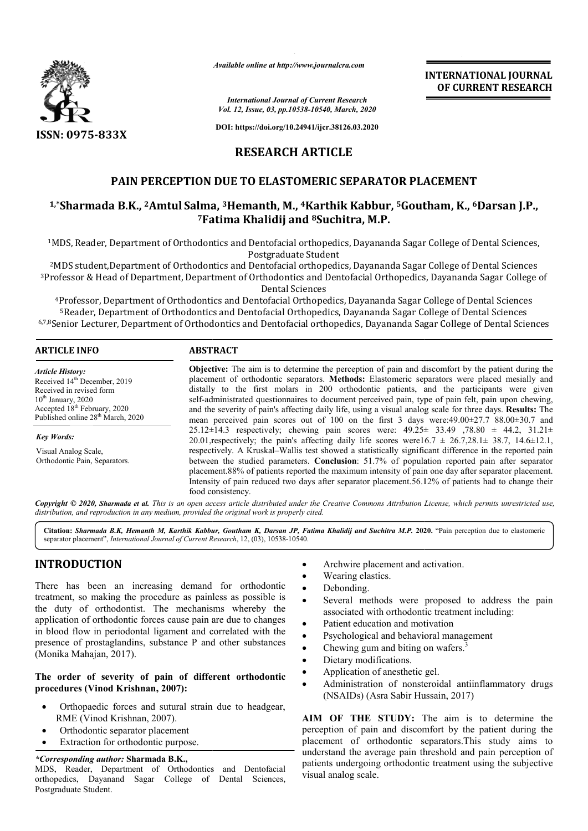

*Available online at http://www.journalcra.com*

*International Journal of Current Research Vol. 12, Issue, 03, pp.10538-10540, March, 2020*

**DOI: https://doi.org/10.24941/ijcr.38126.03.2020**

# **RESEARCH ARTICLE**

# **PAIN PERCEPTION DUE TO ELASTOMERIC SEPARATOR PLACEMENT**

# PAIN PERCEPTION DUE TO ELASTOMERIC SEPARATOR PLACEMENT<br>1,\*Sharmada B.K., <sup>2</sup>Amtul Salma, <sup>3</sup>Hemanth, M., <sup>4</sup>Karthik Kabbur, <sup>5</sup>Goutham, K., <sup>6</sup>Darsan J.P., **7Fatima Khalidij and Fatima 8Suchitra, M.P.**

<sup>1</sup>MDS, Reader, Department of Orthodontics and Dentofacial orthopedics, Dayananda Sagar College of Dental Sciences,<br>Postgraduate Student

 $^2$ MDS student,Department of Orthodontics and Dentofacial orthopedics, Dayananda Sagar College of Dental Sciences <sup>3</sup>Professor & Head of Department, Department of Orthodontics and Dentofacial Orthopedics, Dayananda Sagar College of<br>Dental Sciences

<sup>4</sup>Professor, Department of Orthodontics and Dentofacial Orthopedics, Dayananda Sagar College of Dental Sciences 5Reader, Department of Orthodontics and Dentofacial Orthopedics, Dayananda Sagar College of Dental Sciences 6,7,8Senior Lecturer, Department of Orthodontics and Dentofacial orthopedics, Dayananda Sagar College of Dental Sciences Professor,<br><sup>5</sup>Reader, D<br>enior Lectu Reader, Department

| <b>ARTICLE INFO</b>                                                                                                                                                 | <b>ABSTRACT</b>                                                                                                                                                                                                                                                                                                                                                                                                                                                                                                                    |  |  |
|---------------------------------------------------------------------------------------------------------------------------------------------------------------------|------------------------------------------------------------------------------------------------------------------------------------------------------------------------------------------------------------------------------------------------------------------------------------------------------------------------------------------------------------------------------------------------------------------------------------------------------------------------------------------------------------------------------------|--|--|
| <b>Article History:</b><br>Received 14 <sup>th</sup> December, 2019<br>Received in revised form<br>$10th$ January, 2020<br>Accepted 18 <sup>th</sup> February, 2020 | <b>Objective:</b> The aim is to determine the perception of pain and discomfort by the patient during the<br>placement of orthodontic separators. Methods: Elastomeric separators were placed mesially and<br>distally to the first molars in 200 orthodontic patients, and the participants were given<br>self-administrated questionnaires to document perceived pain, type of pain felt, pain upon chewing,<br>and the severity of pain's affecting daily life, using a visual analog scale for three days. <b>Results:</b> The |  |  |
| Published online 28 <sup>th</sup> March, 2020                                                                                                                       | mean perceived pain scores out of 100 on the first 3 days were:49.00 $\pm$ 27.7 88.00 $\pm$ 30.7 and                                                                                                                                                                                                                                                                                                                                                                                                                               |  |  |
| <b>Key Words:</b>                                                                                                                                                   | 25.12±14.3 respectively; chewing pain scores were: $49.25 \pm 33.49$ , 78.80 $\pm 44.2$ , 31.21 $\pm$<br>20.01, respectively; the pain's affecting daily life scores were $16.7 \pm 26.7,28.1 \pm 38.7, 14.6 \pm 12.1$ ,                                                                                                                                                                                                                                                                                                           |  |  |
| Visual Analog Scale,                                                                                                                                                | respectively. A Kruskal–Wallis test showed a statistically significant difference in the reported pain                                                                                                                                                                                                                                                                                                                                                                                                                             |  |  |
| Orthodontic Pain, Separators.                                                                                                                                       | between the studied parameters. Conclusion: 51.7% of population reported pain after separator<br>placement.88% of patients reported the maximum intensity of pain one day after separator placement.<br>Intensity of pain reduced two days after separator placement.56.12% of patients had to change their<br>food consistency.                                                                                                                                                                                                   |  |  |

Copyright © 2020, Sharmada et al. This is an open access article distributed under the Creative Commons Attribution License, which permits unrestricted use, *distribution, and reproduction in any medium, provided the original work is properly cited.*

**Citation:** *Sharmada B.K, Hemanth M, Karthik Kabbur, Goutham K, Darsan JP, F Fatima Khalidij and Suchitra M.P.* **2020.** "Pain perception due to elastomeric separator placement", *International Journal of Current Research* , 12, (03), 10538-10540.

# **INTRODUCTION**

There has been an increasing demand for orthodontic treatment, so making the procedure as painless as possible is the duty of orthodontist. The mechanisms whereby the application of orthodontic forces cause pain are due to changes in blood flow in periodontal ligament and correlated with the presence of prostaglandins, substance P and other substances (Monika Mahajan, 2017). Example the archivered archivered activation.<br>
Examples as possible is<br>
examples as possible is<br>
Examples as possible is<br>
Several methods were proposed<br>
associated with orthodontic treatme<br>
e pain are due to changes

## **The order of severity of pain of different orthodontic procedures (Vinod Krishnan, 2007):**

- Orthopaedic forces and sutural strain due to headgear, RME (Vinod Krishnan, 2007).
- Orthodontic separator placement
- Extraction for orthodontic purpose.

#### *\*Corresponding author:* **Sharmada B.K.,**

MDS, Reader, Department of Orthodontics and Dentofacial orthopedics, Dayanand Sagar College of Dental Sciences, Postgraduate Student.

- 
- Wearing elastics.
- Debonding.
- Several methods were proposed to address the pain associated with orthodontic treatment including: Archwire placement and activation.<br>Wearing elastics.<br>Debonding.<br>Several methods were proposed<br>associated with orthodontic treatmer<br>Patient education and motivation<br>Psychological and behavioral manage<br>Chewing gum and biting
- Patient education and motivation
- Psychological and behavioral management
- Chewing gum and biting on wafers.
- Dietary modifications.
- Application of anesthetic gel.
- Administration of nonsteroidal antiinflammatory drugs (NSAIDs) (Asra Sabir Hussain, 2017)

**AIM OF THE STUDY:** The aim is to determine the perception of pain and discomfort by the patient during the placement of orthodontic separators.This study aims to understand the average pain threshold and pain perception of patients undergoing orthodontic treatment using the subjective visual analog scale. • Administration of nonsteroidal antiinflammatory drugs<br>(NSAIDs) (Asra Sabir Hussain, 2017)<br>**AIM OF THE STUDY:** The aim is to determine the<br>perception of pain and discomfort by the patient during the<br>placement of orthodont

**INTERNATIONAL JOURNAL OF CURRENT RESEARCH**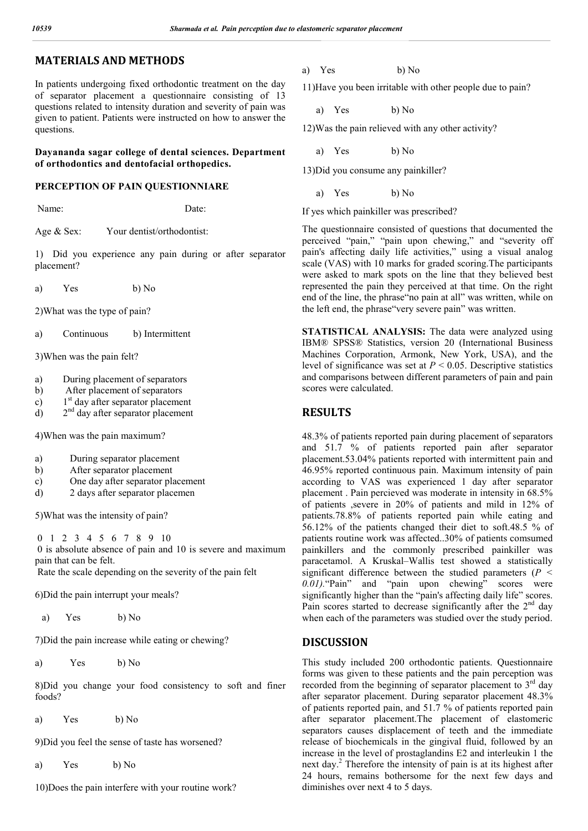# **MATERIALS AND METHODS**

In patients undergoing fixed orthodontic treatment on the day of separator placement a questionnaire consisting of 13 questions related to intensity duration and severity of pain was given to patient. Patients were instructed on how to answer the questions.

### **Dayananda sagar college of dental sciences. Department of orthodontics and dentofacial orthopedics.**

#### **PERCEPTION OF PAIN QUESTIONNIARE**

Name: Date:

Age & Sex: Your dentist/orthodontist:

1) Did you experience any pain during or after separator placement?

a) Yes b) No

2)What was the type of pain?

a) Continuous b) Intermittent

3)When was the pain felt?

- a) During placement of separators
- b) After placement of separators
- c)  $1<sup>st</sup>$  day after separator placement
- d)  $2<sup>nd</sup>$  day after separator placement

4)When was the pain maximum?

- a) During separator placement
- b) After separator placement
- c) One day after separator placement
- d) 2 days after separator placemen

5)What was the intensity of pain?

0 1 2 3 4 5 6 7 8 9 10 0 is absolute absence of pain and 10 is severe and maximum pain that can be felt.

Rate the scale depending on the severity of the pain felt

6)Did the pain interrupt your meals?

a) Yes b) No

7)Did the pain increase while eating or chewing?

a) Yes b) No

8)Did you change your food consistency to soft and finer foods?

a) Yes b) No

9)Did you feel the sense of taste has worsened?

a) Yes b) No

10)Does the pain interfere with your routine work?

a) Yes b) No

11)Have you been irritable with other people due to pain?

a) Yes b) No

12)Was the pain relieved with any other activity?

a) Yes b) No

13)Did you consume any painkiller?

a) Yes b) No

If yes which painkiller was prescribed?

The questionnaire consisted of questions that documented the perceived "pain," "pain upon chewing," and "severity off pain's affecting daily life activities," using a visual analog scale (VAS) with 10 marks for graded scoring.The participants were asked to mark spots on the line that they believed best represented the pain they perceived at that time. On the right end of the line, the phrase"no pain at all" was written, while on the left end, the phrase"very severe pain" was written.

**STATISTICAL ANALYSIS:** The data were analyzed using IBM® SPSS® Statistics, version 20 (International Business Machines Corporation, Armonk, New York, USA), and the level of significance was set at  $P < 0.05$ . Descriptive statistics and comparisons between different parameters of pain and pain scores were calculated.

## **RESULTS**

48.3% of patients reported pain during placement of separators and 51.7 % of patients reported pain after separator placement.53.04% patients reported with intermittent pain and 46.95% reported continuous pain. Maximum intensity of pain according to VAS was experienced 1 day after separator placement . Pain percieved was moderate in intensity in 68.5% of patients ,severe in 20% of patients and mild in 12% of patients.78.8% of patients reported pain while eating and 56.12% of the patients changed their diet to soft.48.5 % of patients routine work was affected..30% of patients comsumed painkillers and the commonly prescribed painkiller was paracetamol. A Kruskal–Wallis test showed a statistically significant difference between the studied parameters (*P < 0.01).*"Pain" and "pain upon chewing" scores were significantly higher than the "pain's affecting daily life" scores. Pain scores started to decrease significantly after the  $2<sup>nd</sup>$  day when each of the parameters was studied over the study period.

### **DISCUSSION**

This study included 200 orthodontic patients. Questionnaire forms was given to these patients and the pain perception was recorded from the beginning of separator placement to 3<sup>rd</sup> day after separator placement. During separator placement 48.3% of patients reported pain, and 51.7 % of patients reported pain after separator placement.The placement of elastomeric separators causes displacement of teeth and the immediate release of biochemicals in the gingival fluid, followed by an increase in the level of prostaglandins E2 and interleukin 1 the next day.2 Therefore the intensity of pain is at its highest after 24 hours, remains bothersome for the next few days and diminishes over next 4 to 5 days.